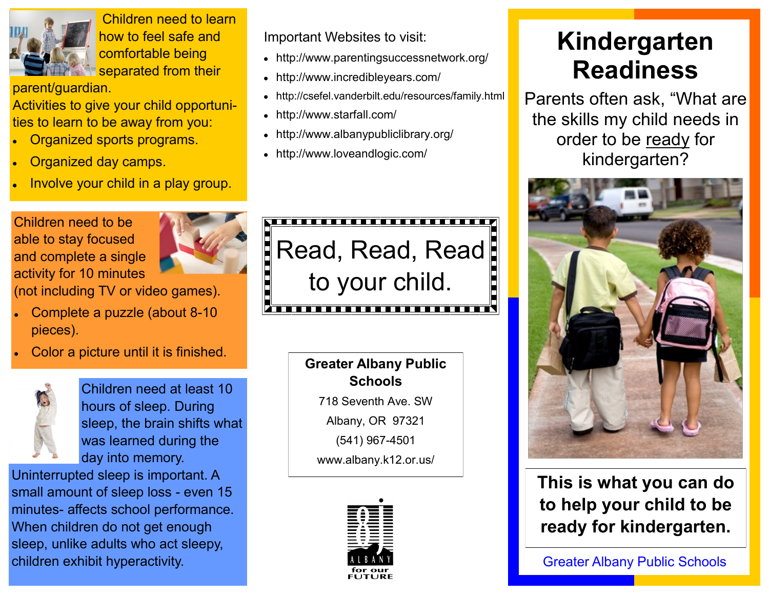

Children need to learn how to feel safe and comfortable being Separated from their

parent/guardian.

Activities to give your child opportunities to learn to be away from you:

- Organized sports programs.
- Organized day camps.
- Involve your child in a play group.

Children need to be able to stay focused and complete a single activity for 10 minutes



(not including TV or video games).

- Complete a puzzle (about 8-10 pieces).
- Color a picture until it is finished.



Children need at least 10 hours of sleep. During sleep, the brain shifts what was learned during the day into memory.

Uninterrupted sleep is important. A small amount of sleep loss - even 15 minutes- affects school performance. When children do not get enough sleep, unlike adults who act sleepy, children exhibit hyperactivity.

Important Websites to visit:

- http://www.parentingsuccessnetwork.org/
- http://www.incredibleyears.com/
- http://csefel.vanderbilt.edu/resources/family.html
- http://www.starfall.com/
- http://www.albanypubliclibrary.org/
- http://www.loveandlogic.com/



**Greater Albany Public Schools** 718 Seventh Ave. SW

Albany, OR 97321

(541) 967-4501

www.albany.k12.or.us/



# **Kindergarten Readiness**

Parents often ask, "What are the skills my child needs in order to be ready for kindergarten?



**This is what you can do to help your child to be ready for kindergarten.**

Greater Albany Public Schools